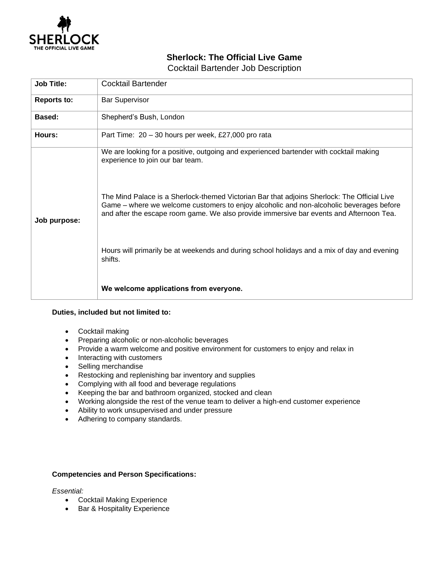

## **Sherlock: The Official Live Game**

Cocktail Bartender Job Description

| <b>Job Title:</b>  | Cocktail Bartender                                                                                                                                                                                                                                                                |
|--------------------|-----------------------------------------------------------------------------------------------------------------------------------------------------------------------------------------------------------------------------------------------------------------------------------|
| <b>Reports to:</b> | <b>Bar Supervisor</b>                                                                                                                                                                                                                                                             |
| Based:             | Shepherd's Bush, London                                                                                                                                                                                                                                                           |
| Hours:             | Part Time: 20 - 30 hours per week, £27,000 pro rata                                                                                                                                                                                                                               |
| Job purpose:       | We are looking for a positive, outgoing and experienced bartender with cocktail making<br>experience to join our bar team.                                                                                                                                                        |
|                    | The Mind Palace is a Sherlock-themed Victorian Bar that adjoins Sherlock: The Official Live<br>Game – where we welcome customers to enjoy alcoholic and non-alcoholic beverages before<br>and after the escape room game. We also provide immersive bar events and Afternoon Tea. |
|                    | Hours will primarily be at weekends and during school holidays and a mix of day and evening<br>shifts.                                                                                                                                                                            |
|                    | We welcome applications from everyone.                                                                                                                                                                                                                                            |

## **Duties, included but not limited to:**

- Cocktail making
- Preparing alcoholic or non-alcoholic beverages
- Provide a warm welcome and positive environment for customers to enjoy and relax in
- Interacting with customers
- Selling merchandise
- Restocking and replenishing bar inventory and supplies
- Complying with all food and beverage regulations
- Keeping the bar and bathroom organized, stocked and clean
- Working alongside the rest of the venue team to deliver a high-end customer experience
- Ability to work unsupervised and under pressure
- Adhering to company standards.

## **Competencies and Person Specifications:**

## *Essential:*

- Cocktail Making Experience
- Bar & Hospitality Experience